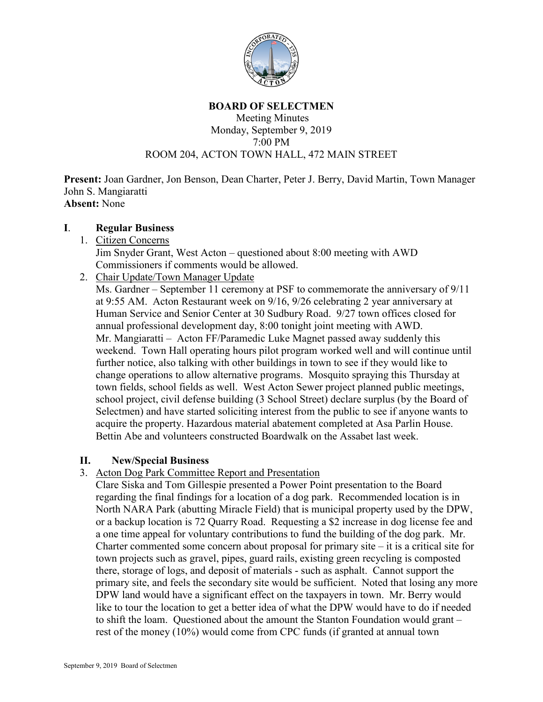

#### **BOARD OF SELECTMEN**

#### Meeting Minutes Monday, September 9, 2019 7:00 PM ROOM 204, ACTON TOWN HALL, 472 MAIN STREET

**Present:** Joan Gardner, Jon Benson, Dean Charter, Peter J. Berry, David Martin, Town Manager John S. Mangiaratti **Absent:** None

### **I**. **Regular Business**

1. Citizen Concerns

Jim Snyder Grant, West Acton – questioned about 8:00 meeting with AWD Commissioners if comments would be allowed.

2. Chair Update/Town Manager Update

Ms. Gardner – September 11 ceremony at PSF to commemorate the anniversary of 9/11 at 9:55 AM. Acton Restaurant week on 9/16, 9/26 celebrating 2 year anniversary at Human Service and Senior Center at 30 Sudbury Road. 9/27 town offices closed for annual professional development day, 8:00 tonight joint meeting with AWD. Mr. Mangiaratti – Acton FF/Paramedic Luke Magnet passed away suddenly this weekend. Town Hall operating hours pilot program worked well and will continue until further notice, also talking with other buildings in town to see if they would like to change operations to allow alternative programs. Mosquito spraying this Thursday at town fields, school fields as well. West Acton Sewer project planned public meetings, school project, civil defense building (3 School Street) declare surplus (by the Board of Selectmen) and have started soliciting interest from the public to see if anyone wants to acquire the property. Hazardous material abatement completed at Asa Parlin House. Bettin Abe and volunteers constructed Boardwalk on the Assabet last week.

## **II. New/Special Business**

3. Acton Dog Park Committee Report and Presentation

Clare Siska and Tom Gillespie presented a Power Point presentation to the Board regarding the final findings for a location of a dog park. Recommended location is in North NARA Park (abutting Miracle Field) that is municipal property used by the DPW, or a backup location is 72 Quarry Road. Requesting a \$2 increase in dog license fee and a one time appeal for voluntary contributions to fund the building of the dog park. Mr. Charter commented some concern about proposal for primary site  $-$  it is a critical site for town projects such as gravel, pipes, guard rails, existing green recycling is composted there, storage of logs, and deposit of materials - such as asphalt. Cannot support the primary site, and feels the secondary site would be sufficient. Noted that losing any more DPW land would have a significant effect on the taxpayers in town. Mr. Berry would like to tour the location to get a better idea of what the DPW would have to do if needed to shift the loam. Questioned about the amount the Stanton Foundation would grant – rest of the money (10%) would come from CPC funds (if granted at annual town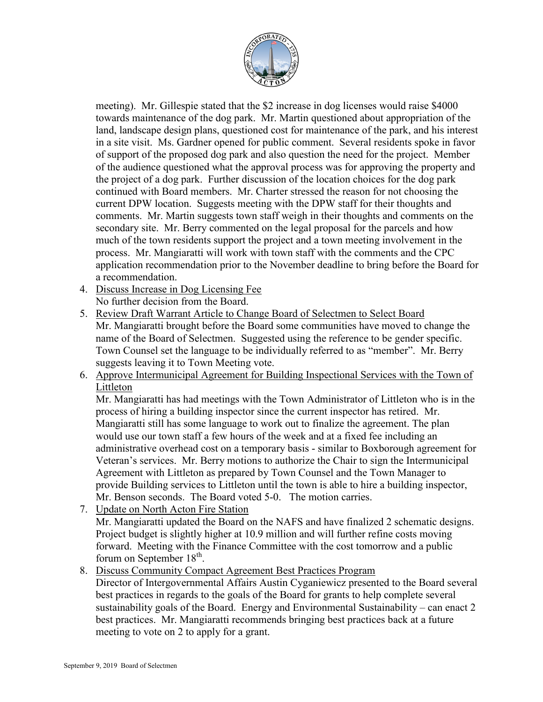

meeting). Mr. Gillespie stated that the \$2 increase in dog licenses would raise \$4000 towards maintenance of the dog park. Mr. Martin questioned about appropriation of the land, landscape design plans, questioned cost for maintenance of the park, and his interest in a site visit. Ms. Gardner opened for public comment. Several residents spoke in favor of support of the proposed dog park and also question the need for the project. Member of the audience questioned what the approval process was for approving the property and the project of a dog park. Further discussion of the location choices for the dog park continued with Board members. Mr. Charter stressed the reason for not choosing the current DPW location. Suggests meeting with the DPW staff for their thoughts and comments. Mr. Martin suggests town staff weigh in their thoughts and comments on the secondary site. Mr. Berry commented on the legal proposal for the parcels and how much of the town residents support the project and a town meeting involvement in the process. Mr. Mangiaratti will work with town staff with the comments and the CPC application recommendation prior to the November deadline to bring before the Board for a recommendation.

- 4. Discuss Increase in Dog Licensing Fee No further decision from the Board.
- 5. Review Draft Warrant Article to Change Board of Selectmen to Select Board Mr. Mangiaratti brought before the Board some communities have moved to change the name of the Board of Selectmen. Suggested using the reference to be gender specific. Town Counsel set the language to be individually referred to as "member". Mr. Berry suggests leaving it to Town Meeting vote.
- 6. Approve Intermunicipal Agreement for Building Inspectional Services with the Town of Littleton

Mr. Mangiaratti has had meetings with the Town Administrator of Littleton who is in the process of hiring a building inspector since the current inspector has retired. Mr. Mangiaratti still has some language to work out to finalize the agreement. The plan would use our town staff a few hours of the week and at a fixed fee including an administrative overhead cost on a temporary basis - similar to Boxborough agreement for Veteran's services. Mr. Berry motions to authorize the Chair to sign the Intermunicipal Agreement with Littleton as prepared by Town Counsel and the Town Manager to provide Building services to Littleton until the town is able to hire a building inspector, Mr. Benson seconds. The Board voted 5-0. The motion carries.

- 7. Update on North Acton Fire Station Mr. Mangiaratti updated the Board on the NAFS and have finalized 2 schematic designs. Project budget is slightly higher at 10.9 million and will further refine costs moving forward. Meeting with the Finance Committee with the cost tomorrow and a public forum on September  $18<sup>th</sup>$ .
- 8. Discuss Community Compact Agreement Best Practices Program

Director of Intergovernmental Affairs Austin Cyganiewicz presented to the Board several best practices in regards to the goals of the Board for grants to help complete several sustainability goals of the Board. Energy and Environmental Sustainability – can enact 2 best practices. Mr. Mangiaratti recommends bringing best practices back at a future meeting to vote on 2 to apply for a grant.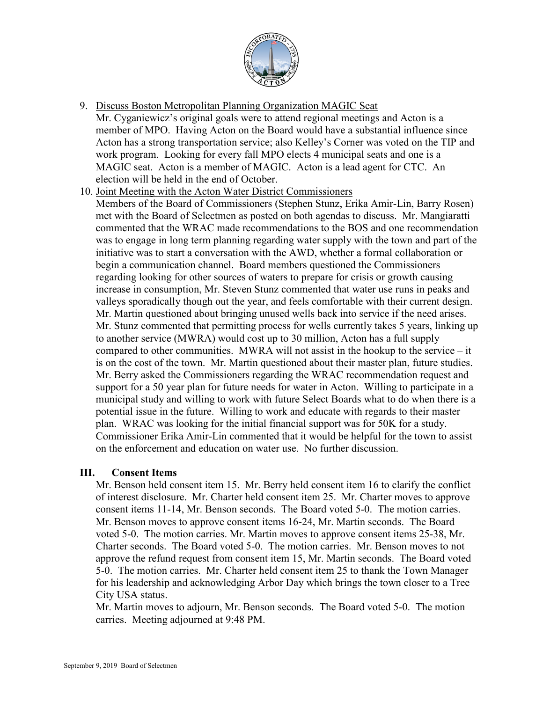

9. Discuss Boston Metropolitan Planning Organization MAGIC Seat

Mr. Cyganiewicz's original goals were to attend regional meetings and Acton is a member of MPO. Having Acton on the Board would have a substantial influence since Acton has a strong transportation service; also Kelley's Corner was voted on the TIP and work program. Looking for every fall MPO elects 4 municipal seats and one is a MAGIC seat. Acton is a member of MAGIC. Acton is a lead agent for CTC. An election will be held in the end of October.

- 10. Joint Meeting with the Acton Water District Commissioners
	- Members of the Board of Commissioners (Stephen Stunz, Erika Amir-Lin, Barry Rosen) met with the Board of Selectmen as posted on both agendas to discuss. Mr. Mangiaratti commented that the WRAC made recommendations to the BOS and one recommendation was to engage in long term planning regarding water supply with the town and part of the initiative was to start a conversation with the AWD, whether a formal collaboration or begin a communication channel. Board members questioned the Commissioners regarding looking for other sources of waters to prepare for crisis or growth causing increase in consumption, Mr. Steven Stunz commented that water use runs in peaks and valleys sporadically though out the year, and feels comfortable with their current design. Mr. Martin questioned about bringing unused wells back into service if the need arises. Mr. Stunz commented that permitting process for wells currently takes 5 years, linking up to another service (MWRA) would cost up to 30 million, Acton has a full supply compared to other communities. MWRA will not assist in the hookup to the service – it is on the cost of the town. Mr. Martin questioned about their master plan, future studies. Mr. Berry asked the Commissioners regarding the WRAC recommendation request and support for a 50 year plan for future needs for water in Acton. Willing to participate in a municipal study and willing to work with future Select Boards what to do when there is a potential issue in the future. Willing to work and educate with regards to their master plan. WRAC was looking for the initial financial support was for 50K for a study. Commissioner Erika Amir-Lin commented that it would be helpful for the town to assist on the enforcement and education on water use. No further discussion.

## **III. Consent Items**

Mr. Benson held consent item 15. Mr. Berry held consent item 16 to clarify the conflict of interest disclosure. Mr. Charter held consent item 25. Mr. Charter moves to approve consent items 11-14, Mr. Benson seconds. The Board voted 5-0. The motion carries. Mr. Benson moves to approve consent items 16-24, Mr. Martin seconds. The Board voted 5-0. The motion carries. Mr. Martin moves to approve consent items 25-38, Mr. Charter seconds. The Board voted 5-0. The motion carries. Mr. Benson moves to not approve the refund request from consent item 15, Mr. Martin seconds. The Board voted 5-0. The motion carries. Mr. Charter held consent item 25 to thank the Town Manager for his leadership and acknowledging Arbor Day which brings the town closer to a Tree City USA status.

Mr. Martin moves to adjourn, Mr. Benson seconds. The Board voted 5-0. The motion carries. Meeting adjourned at 9:48 PM.